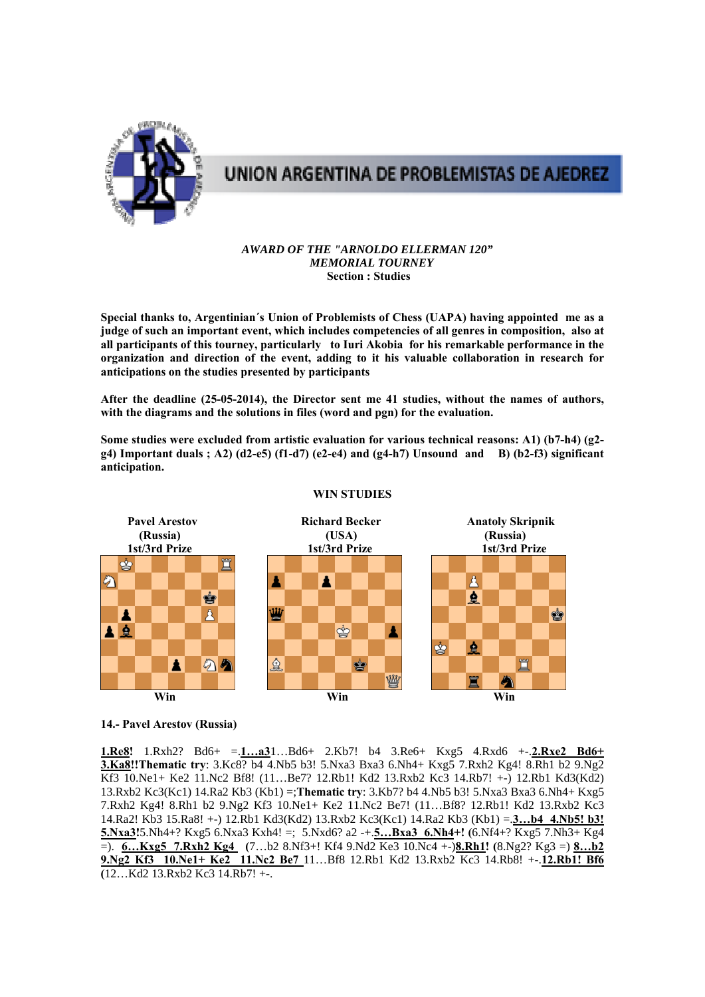

# UNION ARGENTINA DE PROBLEMISTAS DE AJEDREZ

#### *AWARD OF THE "ARNOLDO ELLERMAN 120" MEMORIAL TOURNEY*   **Section : Studies**

**Special thanks to, Argentinian´s Union of Problemists of Chess (UAPA) having appointed me as a judge of such an important event, which includes competencies of all genres in composition, also at all participants of this tourney, particularly to Iuri Akobia for his remarkable performance in the organization and direction of the event, adding to it his valuable collaboration in research for anticipations on the studies presented by participants** 

**After the deadline (25-05-2014), the Director sent me 41 studies, without the names of authors, with the diagrams and the solutions in files (word and pgn) for the evaluation.** 

**Some studies were excluded from artistic evaluation for various technical reasons: A1) (b7-h4) (g2 g4) Important duals ; A2) (d2-e5) (f1-d7) (e2-e4) and (g4-h7) Unsound and B) (b2-f3) significant anticipation.** 



## **WIN STUDIES**

#### **14.- Pavel Arestov (Russia)**

**1.Re8!** 1.Rxh2? Bd6+ =.**1…a3**1…Bd6+ 2.Kb7! b4 3.Re6+ Kxg5 4.Rxd6 +-.**2.Rxe2 Bd6+ 3.Ka8!!Thematic try**: 3.Kc8? b4 4.Nb5 b3! 5.Nxa3 Bxa3 6.Nh4+ Kxg5 7.Rxh2 Kg4! 8.Rh1 b2 9.Ng2 Kf3 10.Ne1+ Ke2 11.Nc2 Bf8! (11…Be7? 12.Rb1! Kd2 13.Rxb2 Kc3 14.Rb7! +-) 12.Rb1 Kd3(Kd2) 13.Rxb2 Kc3(Kc1) 14.Ra2 Kb3 (Kb1) =;**Thematic try**: 3.Kb7? b4 4.Nb5 b3! 5.Nxa3 Bxa3 6.Nh4+ Kxg5 7.Rxh2 Kg4! 8.Rh1 b2 9.Ng2 Kf3 10.Ne1+ Ke2 11.Nc2 Be7! (11…Bf8? 12.Rb1! Kd2 13.Rxb2 Kc3 14.Ra2! Kb3 15.Ra8! +-) 12.Rb1 Kd3(Kd2) 13.Rxb2 Kc3(Kc1) 14.Ra2 Kb3 (Kb1) =.**3…b4 4.Nb5! b3! 5.Nxa3!**5.Nh4+? Kxg5 6.Nxa3 Kxh4! =; 5.Nxd6? a2 -+.**5…Bxa3 6.Nh4+! (**6.Nf4+? Kxg5 7.Nh3+ Kg4 =). **6…Kxg5 7.Rxh2 Kg4 (**7…b2 8.Nf3+! Kf4 9.Nd2 Ke3 10.Nc4 +-)**8.Rh1! (**8.Ng2? Kg3 =) **8…b2 9.Ng2 Kf3 10.Ne1+ Ke2 11.Nc2 Be7** 11…Bf8 12.Rb1 Kd2 13.Rxb2 Kc3 14.Rb8! +-.**12.Rb1! Bf6 (**12…Kd2 13.Rxb2 Kc3 14.Rb7! +-.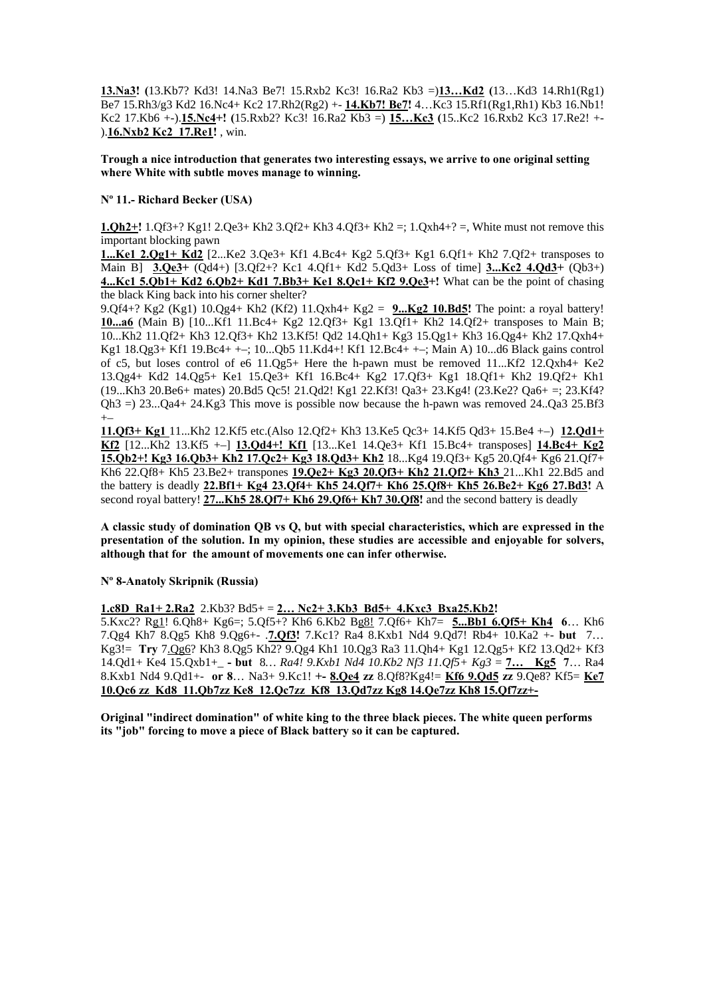**13.Na3! (**13.Kb7? Kd3! 14.Na3 Be7! 15.Rxb2 Kc3! 16.Ra2 Kb3 =)**13…Kd2 (**13…Kd3 14.Rh1(Rg1) Be7 15.Rh3/g3 Kd2 16.Nc4+ Kc2 17.Rh2(Rg2) +- **14.Kb7! Be7!** 4…Kc3 15.Rf1(Rg1,Rh1) Kb3 16.Nb1! Kc2 17.Kb6 +-).**15.Nc4+! (**15.Rxb2? Kc3! 16.Ra2 Kb3 =) **15…Kc3 (**15..Kc2 16.Rxb2 Kc3 17.Re2! +- ).**16.Nxb2 Kc2 17.Re1!** , win.

**Trough a nice introduction that generates two interesting essays, we arrive to one original setting where White with subtle moves manage to winning.** 

## **Nº 11.- Richard Becker (USA)**

**1.Qh2+!** 1.Qf3+? Kg1! 2.Qe3+ Kh2 3.Qf2+ Kh3 4.Qf3+ Kh2 =; 1.Qxh4+? =, White must not remove this important blocking pawn

**1...Ke1 2.Qg1+ Kd2** [2...Ke2 3.Qe3+ Kf1 4.Bc4+ Kg2 5.Qf3+ Kg1 6.Qf1+ Kh2 7.Qf2+ transposes to Main B] **3.Qe3+** (Qd4+) [3.Qf2+? Kc1 4.Qf1+ Kd2 5.Qd3+ Loss of time] **3...Kc2 4.Qd3+** (Qb3+) **4...Kc1 5.Qb1+ Kd2 6.Qb2+ Kd1 7.Bb3+ Ke1 8.Qc1+ Kf2 9.Qe3+!** What can be the point of chasing the black King back into his corner shelter?

9.Qf4+? Kg2 (Kg1) 10.Qg4+ Kh2 (Kf2) 11.Qxh4+ Kg2 = **9...Kg2 10.Bd5!** The point: a royal battery! **10...a6** (Main B) [10...Kf1 11.Bc4+ Kg2 12.Qf3+ Kg1 13.Qf1+ Kh2 14.Qf2+ transposes to Main B; 10...Kh2 11.Qf2+ Kh3 12.Qf3+ Kh2 13.Kf5! Qd2 14.Qh1+ Kg3 15.Qg1+ Kh3 16.Qg4+ Kh2 17.Qxh4+ Kg1 18.Qg3+ Kf1 19.Bc4+ +–; 10...Qb5 11.Kd4+! Kf1 12.Bc4+ +–; Main A) 10...d6 Black gains control of c5, but loses control of e6 11.Qg5+ Here the h-pawn must be removed 11...Kf2 12.Qxh4+ Ke2 13.Qg4+ Kd2 14.Qg5+ Ke1 15.Qe3+ Kf1 16.Bc4+ Kg2 17.Qf3+ Kg1 18.Qf1+ Kh2 19.Qf2+ Kh1 (19...Kh3 20.Be6+ mates) 20.Bd5 Qc5! 21.Qd2! Kg1 22.Kf3! Qa3+ 23.Kg4! (23.Ke2? Qa6+ =; 23.Kf4? Qh3 =) 23...Qa4+ 24.Kg3 This move is possible now because the h-pawn was removed 24..Qa3 25.Bf3 +–

**11.Qf3+ Kg1** 11...Kh2 12.Kf5 etc.(Also 12.Qf2+ Kh3 13.Ke5 Qc3+ 14.Kf5 Qd3+ 15.Be4 +–) **12.Qd1+ Kf2** [12...Kh2 13.Kf5 +–] **13.Qd4+! Kf1** [13...Ke1 14.Qe3+ Kf1 15.Bc4+ transposes] **14.Bc4+ Kg2 15.Qb2+! Kg3 16.Qb3+ Kh2 17.Qc2+ Kg3 18.Qd3+ Kh2** 18...Kg4 19.Qf3+ Kg5 20.Qf4+ Kg6 21.Qf7+ Kh6 22.Qf8+ Kh5 23.Be2+ transpones **19.Qe2+ Kg3 20.Qf3+ Kh2 21.Qf2+ Kh3** 21...Kh1 22.Bd5 and the battery is deadly **22.Bf1+ Kg4 23.Qf4+ Kh5 24.Qf7+ Kh6 25.Qf8+ Kh5 26.Be2+ Kg6 27.Bd3!** A second royal battery! **27...Kh5 28.Qf7+ Kh6 29.Qf6+ Kh7 30.Qf8!** and the second battery is deadly

**A classic study of domination QB vs Q, but with special characteristics, which are expressed in the presentation of the solution. In my opinion, these studies are accessible and enjoyable for solvers, although that for the amount of movements one can infer otherwise.** 

**Nº 8-Anatoly Skripnik (Russia)** 

**1.c8D Ra1+ 2.Ra2** 2.Kb3? Bd5+ = **2… Nc2+ 3.Kb3 Bd5+ 4.Kxc3 Bxa25.Kb2!** 

5.Kxc2? Rg1! 6.Qh8+ Kg6=; 5.Qf5+? Kh6 6.Kb2 Bg8! 7.Qf6+ Kh7= **5...Bb1 6.Qf5+ Kh4 6**… Kh6 7.Qg4 Kh7 8.Qg5 Kh8 9.Qg6+- .**7.Qf3!** 7.Kc1? Ra4 8.Kxb1 Nd4 9.Qd7! Rb4+ 10.Ka2 +- **but** 7… Kg3!= **Try** 7.Qg6? Kh3 8.Qg5 Kh2? 9.Qg4 Kh1 10.Qg3 Ra3 11.Qh4+ Kg1 12.Qg5+ Kf2 13.Qd2+ Kf3 14.Qd1+ Ke4 15.Qxb1+\_ **- but** 8*… Ra4! 9.Kxb1 Nd4 10.Kb2 Nf3 11.Qf5+ Kg3* = **7… Kg5 7**… Ra4 8.Kxb1 Nd4 9.Qd1+- **or 8**… Na3+ 9.Kc1! **+- 8.Qe4 zz** 8.Qf8?Kg4!= **Kf6 9.Qd5 zz** 9.Qe8? Kf5= **Ke7 10.Qc6 zz Kd8 11.Qb7zz Ke8 12.Qc7zz Kf8 13.Qd7zz Kg8 14.Qe7zz Kh8 15.Qf7zz+-**

**Original "indirect domination" of white king to the three black pieces. The white queen performs its "job" forcing to move a piece of Black battery so it can be captured.**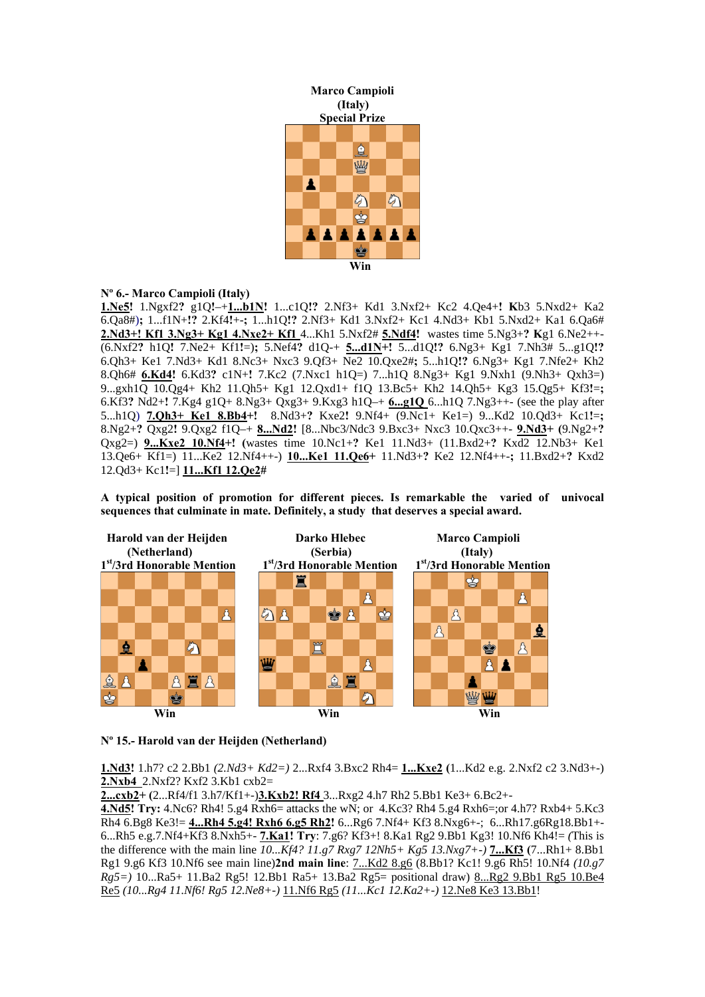

# **Nº 6.- Marco Campioli (Italy)**

**1.Ne5!** 1.Ngxf2**?** g1Q**!**–+**1...b1N!** 1...c1Q**!?** 2.Nf3+ Kd1 3.Nxf2+ Kc2 4.Qe4+**! K**b3 5.Nxd2+ Ka2 6.Qa8#)**;** 1...f1N+**!?** 2.Kf4**!**+-**;** 1...h1Q**!?** 2.Nf3+ Kd1 3.Nxf2+ Kc1 4.Nd3+ Kb1 5.Nxd2+ Ka1 6.Qa6# **2.Nd3+! Kf1 3.Ng3+ Kg1 4.Nxe2+ Kf1** 4...Kh1 5.Nxf2# **5.Ndf4!** wastes time 5.Ng3+**? K**g1 6.Ne2++- (6.Nxf2**?** h1Q**!** 7.Ne2+ Kf1**!**=)**;** 5.Nef4**?** d1Q-+ **5...d1N+!** 5...d1Q**!?** 6.Ng3+ Kg1 7.Nh3# 5...g1Q**!?** 6.Qh3+ Ke1 7.Nd3+ Kd1 8.Nc3+ Nxc3 9.Qf3+ Ne2 10.Qxe2#**;** 5...h1Q**!?** 6.Ng3+ Kg1 7.Nfe2+ Kh2 8.Qh6# **6.Kd4!** 6.Kd3**?** c1N+**!** 7.Kc2 (7.Nxc1 h1Q=) 7...h1Q 8.Ng3+ Kg1 9.Nxh1 (9.Nh3+ Qxh3=) 9...gxh1Q 10.Qg4+ Kh2 11.Qh5+ Kg1 12.Qxd1+ f1Q 13.Bc5+ Kh2 14.Qh5+ Kg3 15.Qg5+ Kf3**!**=**;** 6.Kf3**?** Nd2+**!** 7.Kg4 g1Q+ 8.Ng3+ Qxg3+ 9.Kxg3 h1Q–+ **6...g1Q** 6...h1Q 7.Ng3++- (see the play after 5...h1Q) **7.Qh3+ Ke1 8.Bb4+!** 8.Nd3+**?** Kxe2**!** 9.Nf4+ (9.Nc1+ Ke1=) 9...Kd2 10.Qd3+ Kc1**!**=**;** 8.Ng2+**?** Qxg2**!** 9.Qxg2 f1Q–+ **8...Nd2!** [8...Nbc3/Ndc3 9.Bxc3+ Nxc3 10.Qxc3++- **9.Nd3+ (**9.Ng2+**?** Qxg2=) **9...Kxe2 10.Nf4+! (**wastes time 10.Nc1+**?** Ke1 11.Nd3+ (11.Bxd2+**?** Kxd2 12.Nb3+ Ke1 13.Qe6+ Kf1=) 11...Ke2 12.Nf4++-) **10...Ke1 11.Qe6+** 11.Nd3+**?** Ke2 12.Nf4++-**;** 11.Bxd2+**?** Kxd2 12.Qd3+ Kc1**!**=] **11...Kf1 12.Qe2#** 

**A typical position of promotion for different pieces. Is remarkable the varied of univocal sequences that culminate in mate. Definitely, a study that deserves a special award.** 



**Nº 15.- Harold van der Heijden (Netherland)** 

**1.Nd3!** 1.h7? c2 2.Bb1 *(2.Nd3+ Kd2=)* 2...Rxf4 3.Bxc2 Rh4= **1...Kxe2 (**1...Kd2 e.g. 2.Nxf2 c2 3.Nd3+-) **2.Nxb4** 2.Nxf2? Kxf2 3.Kb1 cxb2=

**2...cxb2+ (**2...Rf4/f1 3.h7/Kf1+-)**3.Kxb2! Rf4** 3...Rxg2 4.h7 Rh2 5.Bb1 Ke3+ 6.Bc2+-

**4.Nd5! Try:** 4.Nc6? Rh4! 5.g4 Rxh6= attacks the wN; or 4.Kc3? Rh4 5.g4 Rxh6=;or 4.h7? Rxb4+ 5.Kc3 Rh4 6.Bg8 Ke3!= **4...Rh4 5.g4! Rxh6 6.g5 Rh2!** 6...Rg6 7.Nf4+ Kf3 8.Nxg6+-; 6...Rh17.g6Rg18.Bb1+- 6...Rh5 e.g.7.Nf4+Kf3 8.Nxh5+- **7.Ka1! Try**: 7.g6? Kf3+! 8.Ka1 Rg2 9.Bb1 Kg3! 10.Nf6 Kh4!= *(*This is the difference with the main line *10...Kf4? 11.g7 Rxg7 12Nh5+ Kg5 13.Nxg7+-)* **7...Kf3 (**7...Rh1+ 8.Bb1 Rg1 9.g6 Kf3 10.Nf6 see main line)**2nd main line**: 7...Kd2 8.g6 (8.Bb1? Kc1! 9.g6 Rh5! 10.Nf4 *(10.g7 Rg5=)* 10...Ra5+ 11.Ba2 Rg5! 12.Bb1 Ra5+ 13.Ba2 Rg5= positional draw) 8...Rg2 9.Bb1 Rg5 10.Be4 Re5 *(10...Rg4 11.Nf6! Rg5 12.Ne8+-)* 11.Nf6 Rg5 *(11...Kc1 12.Ka2+-)* 12.Ne8 Ke3 13.Bb1!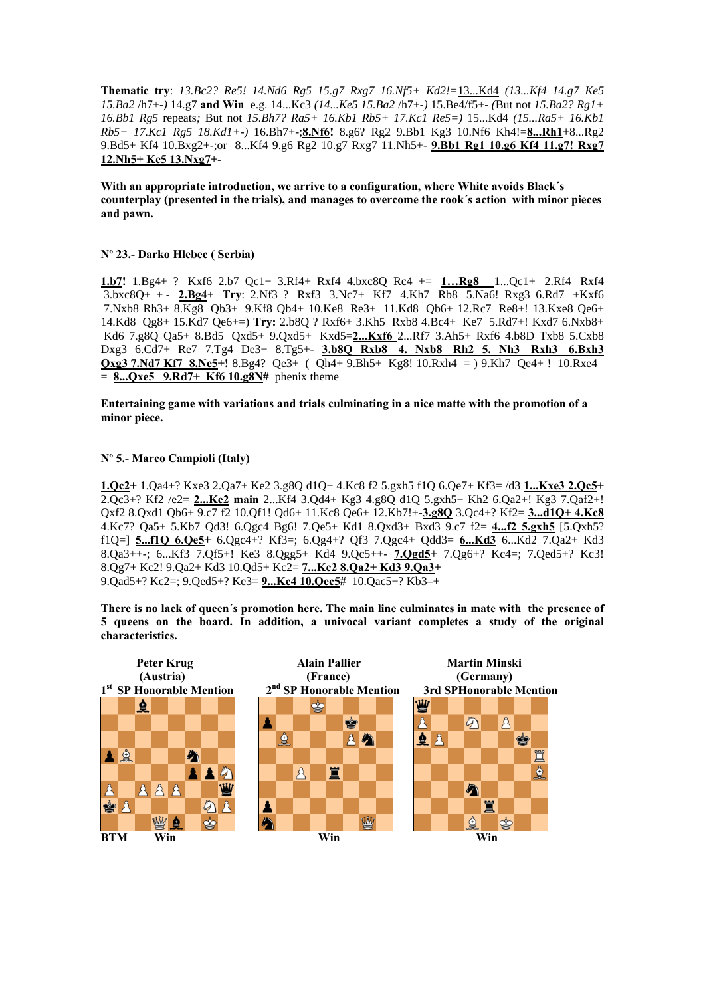**Thematic try**: *13.Bc2? Re5! 14.Nd6 Rg5 15.g7 Rxg7 16.Nf5+ Kd2!=*13...Kd4 *(13...Kf4 14.g7 Ke5 15.Ba2* /h7+-*)* 14.g7 **and Win** e.g. 14...Kc3 *(14...Ke5 15.Ba2* /h7+-*)* 15.Be4/f5+- *(*But not *15.Ba2? Rg1+ 16.Bb1 Rg5* repeats*;* But not *15.Bh7? Ra5+ 16.Kb1 Rb5+ 17.Kc1 Re5=)* 15...Kd4 *(15...Ra5+ 16.Kb1 Rb5+ 17.Kc1 Rg5 18.Kd1+-)* 16.Bh7+-;**8.Nf6!** 8.g6? Rg2 9.Bb1 Kg3 10.Nf6 Kh4!=**8...Rh1+**8...Rg2 9.Bd5+ Kf4 10.Bxg2+-;or 8...Kf4 9.g6 Rg2 10.g7 Rxg7 11.Nh5+- **9.Bb1 Rg1 10.g6 Kf4 11.g7! Rxg7 12.Nh5+ Ke5 13.Nxg7+-** 

**With an appropriate introduction, we arrive to a configuration, where White avoids Black´s counterplay (presented in the trials), and manages to overcome the rook´s action with minor pieces and pawn.** 

## **Nº 23.- Darko Hlebec ( Serbia)**

**1.b7!** 1.Bg4+ ? Kxf6 2.b7 Qc1+ 3.Rf4+ Rxf4 4.bxc8Q Rc4 += **1…Rg8** 1...Qc1+ 2.Rf4 Rxf4 3.bxc8Q+ + - **2.Bg4**+ **Try**: 2.Nf3 ? Rxf3 3.Nc7+ Kf7 4.Kh7 Rb8 5.Na6! Rxg3 6.Rd7 +Kxf6 7.Nxb8 Rh3+ 8.Kg8 Qb3+ 9.Kf8 Qb4+ 10.Ke8 Re3+ 11.Kd8 Qb6+ 12.Rc7 Re8+! 13.Kxe8 Qe6+ 14.Kd8 Qg8+ 15.Kd7 Qe6+=) **Try:** 2.b8Q ? Rxf6+ 3.Kh5 Rxb8 4.Bc4+ Ke7 5.Rd7+! Kxd7 6.Nxb8+ Kd6 7.g8Q Qa5+ 8.Bd5 Qxd5+ 9.Qxd5+ Kxd5=**2...Kxf6** 2...Rf7 3.Ah5+ Rxf6 4.b8D Txb8 5.Cxb8 Dxg3 6.Cd7+ Re7 7.Tg4 De3+ 8.Tg5+- **3.b8Q Rxb8 4. Nxb8 Rh2 5. Nh3 Rxh3 6.Bxh3 Qxg3 7.Nd7 Kf7 8.Ne5+!** 8.Bg4? Qe3+ ( Qh4+ 9.Bh5+ Kg8! 10.Rxh4 = ) 9.Kh7 Qe4+ ! 10.Rxe4 = **8...Qxe5 9.Rd7+ Kf6 10.g8N#** phenix theme

**Entertaining game with variations and trials culminating in a nice matte with the promotion of a minor piece.** 

## **Nº 5.- Marco Campioli (Italy)**

**1.Qc2+** 1.Qa4+? Kxe3 2.Qa7+ Ke2 3.g8Q d1Q+ 4.Kc8 f2 5.gxh5 f1Q 6.Qe7+ Kf3= /d3 **1...Kxe3 2.Qc5+**  2.Qc3+? Kf2 /e2= **2...Ke2 main** 2...Kf4 3.Qd4+ Kg3 4.g8Q d1Q 5.gxh5+ Kh2 6.Qa2+! Kg3 7.Qaf2+! Qxf2 8.Qxd1 Qb6+ 9.c7 f2 10.Qf1! Qd6+ 11.Kc8 Qe6+ 12.Kb7!+-**3.g8Q** 3.Qc4+? Kf2= **3...d1Q+ 4.Kc8** 4.Kc7? Qa5+ 5.Kb7 Qd3! 6.Qgc4 Bg6! 7.Qe5+ Kd1 8.Qxd3+ Bxd3 9.c7 f2= **4...f2 5.gxh5** [5.Qxh5? f1Q=] **5...f1Q 6.Qe5+** 6.Qgc4+? Kf3=; 6.Qg4+? Qf3 7.Qgc4+ Qdd3= **6...Kd3** 6...Kd2 7.Qa2+ Kd3 8.Qa3++-; 6...Kf3 7.Qf5+! Ke3 8.Qgg5+ Kd4 9.Qc5++- **7.Qgd5+** 7.Qg6+? Kc4=; 7.Qed5+? Kc3! 8.Qg7+ Kc2! 9.Qa2+ Kd3 10.Qd5+ Kc2= **7...Kc2 8.Qa2+ Kd3 9.Qa3+**  9.Qad5+? Kc2=; 9.Qed5+? Ke3= **9...Kc4 10.Qec5#** 10.Qac5+? Kb3–+

**There is no lack of queen´s promotion here. The main line culminates in mate with the presence of 5 queens on the board. In addition, a univocal variant completes a study of the original characteristics.** 

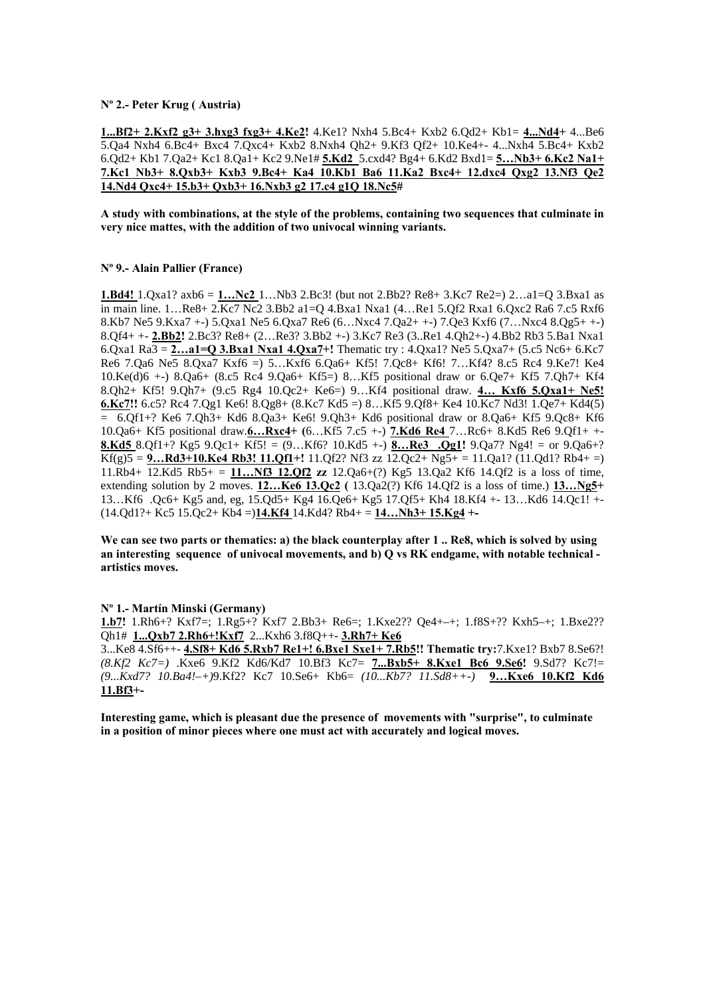## **Nº 2.- Peter Krug ( Austria)**

**1...Bf2+ 2.Kxf2 g3+ 3.hxg3 fxg3+ 4.Ke2!** 4.Ke1? Nxh4 5.Bc4+ Kxb2 6.Qd2+ Kb1= **4...Nd4+** 4...Be6 5.Qa4 Nxh4 6.Bc4+ Bxc4 7.Qxc4+ Kxb2 8.Nxh4 Qh2+ 9.Kf3 Qf2+ 10.Ke4+- 4...Nxh4 5.Bc4+ Kxb2 6.Qd2+ Kb1 7.Qa2+ Kc1 8.Qa1+ Kc2 9.Ne1# **5.Kd2** 5.cxd4? Bg4+ 6.Kd2 Bxd1= **5…Nb3+ 6.Kc2 Na1+ 7.Kc1 Nb3+ 8.Qxb3+ Kxb3 9.Bc4+ Ka4 10.Kb1 Ba6 11.Ka2 Bxc4+ 12.dxc4 Qxg2 13.Nf3 Qe2 14.Nd4 Qxc4+ 15.b3+ Qxb3+ 16.Nxb3 g2 17.c4 g1Q 18.Nc5#** 

**A study with combinations, at the style of the problems, containing two sequences that culminate in very nice mattes, with the addition of two univocal winning variants.** 

## **Nº 9.- Alain Pallier (France)**

**1.Bd4!** 1.Qxa1? axb6 = **1…Nc2** 1…Nb3 2.Bc3! (but not 2.Bb2? Re8+ 3.Kc7 Re2=) 2…a1=Q 3.Bxa1 as in main line. 1…Re8+ 2.Kc7 Nc2 3.Bb2 a1=Q 4.Bxa1 Nxa1 (4…Re1 5.Qf2 Rxa1 6.Qxc2 Ra6 7.c5 Rxf6 8.Kb7 Ne5 9.Kxa7 +-) 5.Qxa1 Ne5 6.Qxa7 Re6 (6…Nxc4 7.Qa2+ +-) 7.Qe3 Kxf6 (7…Nxc4 8.Qg5+ +-) 8.Qf4+ +- **2.Bb2!** 2.Bc3? Re8+ (2…Re3? 3.Bb2 +-) 3.Kc7 Re3 (3..Re1 4.Qh2+-) 4.Bb2 Rb3 5.Ba1 Nxa1 6.Qxa1 Ra3 = **2…a1=Q 3.Bxa1 Nxa1 4.Qxa7+!** Thematic try : 4.Qxa1? Ne5 5.Qxa7+ (5.c5 Nc6+ 6.Kc7 Re6 7.Qa6 Ne5 8.Qxa7 Kxf6 =) 5…Kxf6 6.Qa6+ Kf5! 7.Qc8+ Kf6! 7…Kf4? 8.c5 Rc4 9.Ke7! Ke4 10.Ke(d)6 +-) 8.Qa6+ (8.c5 Rc4 9.Qa6+ Kf5=) 8…Kf5 positional draw or 6.Qe7+ Kf5 7.Qh7+ Kf4 8.Qh2+ Kf5! 9.Qh7+ (9.c5 Rg4 10.Qc2+ Ke6=) 9…Kf4 positional draw. **4… Kxf6 5.Qxa1+ Ne5! 6.Kc7!!** 6.c5? Rc4 7.Qg1 Ke6! 8.Qg8+ (8.Kc7 Kd5 =) 8…Kf5 9.Qf8+ Ke4 10.Kc7 Nd3! 1.Qe7+ Kd4(5)  $= 6.Qf1 + ?$  Ke6 7.Qh3+ Kd6 8.Qa3+ Ke6! 9.Qh3+ Kd6 positional draw or 8.Qa6+ Kf5 9.Qc8+ Kf6 10.Qa6+ Kf5 positional draw.**6…Rxc4+ (**6…Kf5 7.c5 +-) **7.Kd6 Re4** 7…Rc6+ 8.Kd5 Re6 9.Qf1+ +- **8.Kd5** 8.Qf1+? Kg5 9.Qc1+ Kf5! = (9…Kf6? 10.Kd5 +-) **8…Re3 .Qg1!** 9.Qa7? Ng4! = or 9.Qa6+?  $Kf(g)5 = 9...Rd3+10.Ke4 Rb3! 11.Qf1+! 11.Qf2? Nf3 zz 12.Qc2+Ng5+=11.Qa1? (11.Qd1? Rb4+=)$ 11.Rb4+ 12.Kd5 Rb5+ = **11…Nf3 12.Qf2 zz** 12.Qa6+(?) Kg5 13.Qa2 Kf6 14.Qf2 is a loss of time, extending solution by 2 moves. **12…Ke6 13.Qc2 (** 13.Qa2(?) Kf6 14.Qf2 is a loss of time.) **13…Ng5+**  13…Kf6 .Qc6+ Kg5 and, eg, 15.Qd5+ Kg4 16.Qe6+ Kg5 17.Qf5+ Kh4 18.Kf4 +- 13…Kd6 14.Qc1! +- (14.Qd1?+ Kc5 15.Qc2+ Kb4 =)**14.Kf4** 14.Kd4? Rb4+ = **14…Nh3+ 15.Kg4 +-** 

**We can see two parts or thematics: a) the black counterplay after 1 .. Re8, which is solved by using an interesting sequence of univocal movements, and b) Q vs RK endgame, with notable technical artistics moves.** 

#### **Nº 1.- Martín Minski (Germany)**

**1.b7!** 1.Rh6+? Kxf7=; 1.Rg5+? Kxf7 2.Bb3+ Re6=; 1.Kxe2?? Qe4+–+; 1.f8S+?? Kxh5–+; 1.Bxe2?? Qh1# **1...Qxb7 2.Rh6+!Kxf7** 2...Kxh6 3.f8Q++- **3.Rh7+ Ke6** 

3...Ke8 4.Sf6++- **4.Sf8+ Kd6 5.Rxb7 Re1+! 6.Bxe1 Sxe1+ 7.Rb5!! Thematic try:**7.Kxe1? Bxb7 8.Se6?! *(8.Kf2 Kc7=)* .Kxe6 9.Kf2 Kd6/Kd7 10.Bf3 Kc7= **7...Bxb5+ 8.Kxe1 Bc6 9.Se6!** 9.Sd7? Kc7!= *(9...Kxd7? 10.Ba4!–+)*9.Kf2? Kc7 10.Se6+ Kb6= *(10...Kb7? 11.Sd8++-)* **9…Kxe6 10.Kf2 Kd6 11.Bf3+-** 

**Interesting game, which is pleasant due the presence of movements with "surprise", to culminate in a position of minor pieces where one must act with accurately and logical moves.**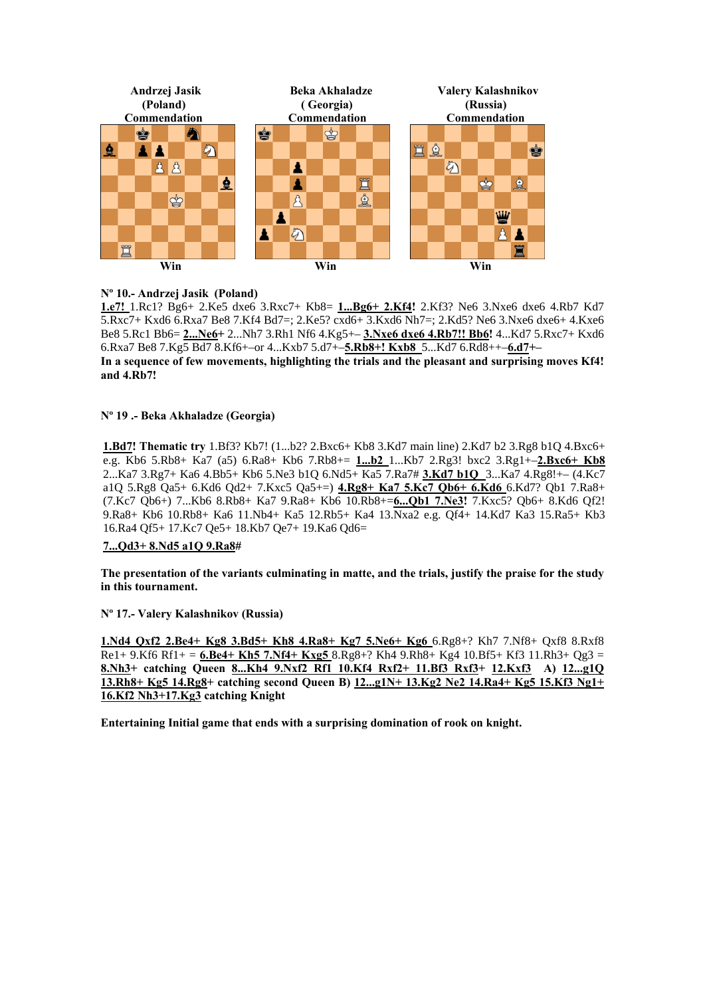

# **Nº 10.- Andrzej Jasik (Poland)**

**1.e7!** 1.Rc1? Bg6+ 2.Ke5 dxe6 3.Rxc7+ Kb8= **1...Bg6+ 2.Kf4!** 2.Kf3? Ne6 3.Nxe6 dxe6 4.Rb7 Kd7 5.Rxc7+ Kxd6 6.Rxa7 Be8 7.Kf4 Bd7=; 2.Ke5? cxd6+ 3.Kxd6 Nh7=; 2.Kd5? Ne6 3.Nxe6 dxe6+ 4.Kxe6 Be8 5.Rc1 Bb6= **2...Ne6+** 2...Nh7 3.Rh1 Nf6 4.Kg5+– **3.Nxe6 dxe6 4.Rb7!! Bb6!** 4...Kd7 5.Rxc7+ Kxd6 6.Rxa7 Be8 7.Kg5 Bd7 8.Kf6+–or 4...Kxb7 5.d7+–**5.Rb8+! Kxb8** 5...Kd7 6.Rd8++–**6.d7+– In a sequence of few movements, highlighting the trials and the pleasant and surprising moves Kf4! and 4.Rb7!** 

## **Nº 19 .- Beka Akhaladze (Georgia)**

**1.Bd7! Thematic try** 1.Bf3? Kb7! (1...b2? 2.Bxc6+ Kb8 3.Kd7 main line) 2.Kd7 b2 3.Rg8 b1Q 4.Bxc6+ e.g. Kb6 5.Rb8+ Ka7 (a5) 6.Ra8+ Kb6 7.Rb8+= **1...b2** 1...Kb7 2.Rg3! bxc2 3.Rg1+–**2.Bxc6+ Kb8**  2...Ka7 3.Rg7+ Ka6 4.Bb5+ Kb6 5.Ne3 b1Q 6.Nd5+ Ka5 7.Ra7# **3.Kd7 b1Q** 3...Ka7 4.Rg8!+– (4.Kc7 a1Q 5.Rg8 Qa5+ 6.Kd6 Qd2+ 7.Kxc5 Qa5+=) **4.Rg8+ Ka7 5.Kc7 Qb6+ 6.Kd6** 6.Kd7? Qb1 7.Ra8+ (7.Kc7 Qb6+) 7...Kb6 8.Rb8+ Ka7 9.Ra8+ Kb6 10.Rb8+=**6...Qb1 7.Ne3!** 7.Kxc5? Qb6+ 8.Kd6 Qf2! 9.Ra8+ Kb6 10.Rb8+ Ka6 11.Nb4+ Ka5 12.Rb5+ Ka4 13.Nxa2 e.g. Qf4+ 14.Kd7 Ka3 15.Ra5+ Kb3 16.Ra4 Qf5+ 17.Kc7 Qe5+ 18.Kb7 Qe7+ 19.Ka6 Qd6=

## **7...Qd3+ 8.Nd5 a1Q 9.Ra8#**

**The presentation of the variants culminating in matte, and the trials, justify the praise for the study in this tournament.** 

**Nº 17.- Valery Kalashnikov (Russia)** 

**1.Nd4 Qxf2 2.Be4+ Kg8 3.Bd5+ Kh8 4.Ra8+ Kg7 5.Ne6+ Kg6** 6.Rg8+? Kh7 7.Nf8+ Qxf8 8.Rxf8 Re1+ 9.Kf6 Rf1+ = **6.Be4+ Kh5 7.Nf4+ Kxg5** 8.Rg8+? Kh4 9.Rh8+ Kg4 10.Bf5+ Kf3 11.Rh3+ Qg3 = **8.Nh3+ catching Queen 8...Kh4 9.Nxf2 Rf1 10.Kf4 Rxf2+ 11.Bf3 Rxf3+ 12.Kxf3 А) 12...g1Q 13.Rh8+ Kg5 14.Rg8+ catching second Queen В) 12...g1N+ 13.Kg2 Ne2 14.Ra4+ Kg5 15.Kf3 Ng1+ 16.Kf2 Nh3+17.Kg3 catching Knight** 

**Entertaining Initial game that ends with a surprising domination of rook on knight.**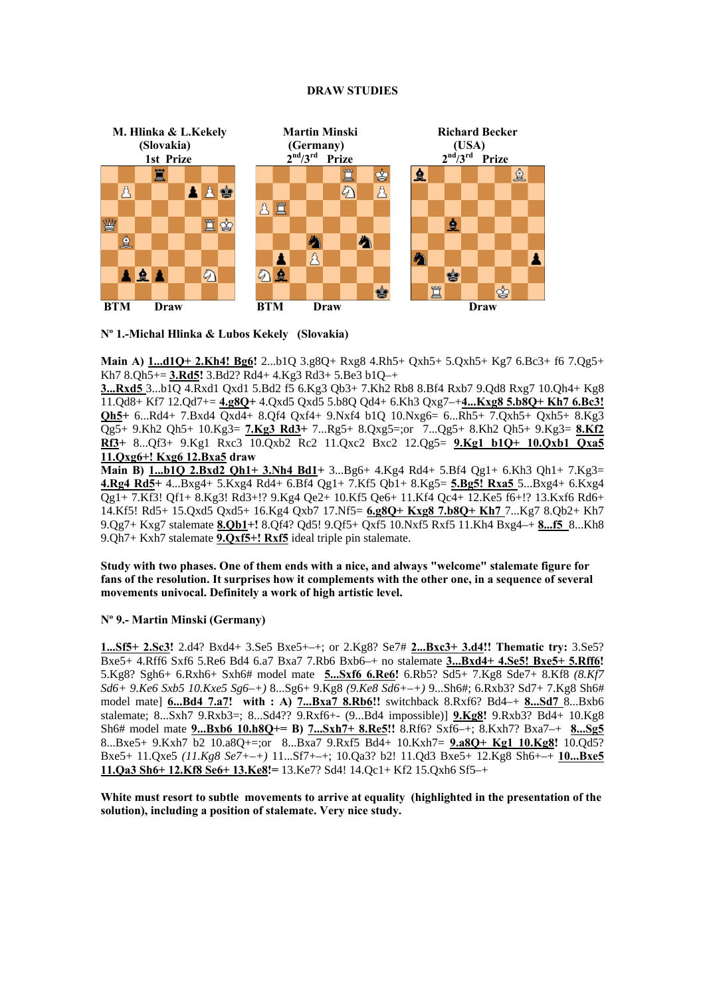#### **DRAW STUDIES**



**Nº 1.-Michal Hlinka & Lubos Kekely (Slovakia)** 

**Main A) 1...d1Q+ 2.Kh4! Bg6!** 2...b1Q 3.g8Q+ Rxg8 4.Rh5+ Qxh5+ 5.Qxh5+ Kg7 6.Bc3+ f6 7.Qg5+ Kh7 8.Qh5+= **3.Rd5!** 3.Bd2? Rd4+ 4.Kg3 Rd3+ 5.Be3 b1Q–+

**3...Rxd5** 3...b1Q 4.Rxd1 Qxd1 5.Bd2 f5 6.Kg3 Qb3+ 7.Kh2 Rb8 8.Bf4 Rxb7 9.Qd8 Rxg7 10.Qh4+ Kg8 11.Qd8+ Kf7 12.Qd7+= **4.g8Q+** 4.Qxd5 Qxd5 5.b8Q Qd4+ 6.Kh3 Qxg7–+**4...Kxg8 5.b8Q+ Kh7 6.Bc3! Qh5+** 6...Rd4+ 7.Bxd4 Qxd4+ 8.Qf4 Qxf4+ 9.Nxf4 b1Q 10.Nxg6= 6...Rh5+ 7.Qxh5+ Qxh5+ 8.Kg3 Qg5+ 9.Kh2 Qh5+ 10.Kg3= **7.Kg3 Rd3+** 7...Rg5+ 8.Qxg5=;or 7...Qg5+ 8.Kh2 Qh5+ 9.Kg3= **8.Kf2 Rf3+** 8...Qf3+ 9.Kg1 Rxc3 10.Qxb2 Rc2 11.Qxc2 Bxc2 12.Qg5= **9.Kg1 b1Q+ 10.Qxb1 Qxa5 11.Qxg6+! Kxg6 12.Bxa5 draw** 

**Main B) 1...b1Q 2.Bxd2 Qh1+ 3.Nh4 Bd1+** 3...Bg6+ 4.Kg4 Rd4+ 5.Bf4 Qg1+ 6.Kh3 Qh1+ 7.Kg3= **4.Rg4 Rd5+** 4...Bxg4+ 5.Kxg4 Rd4+ 6.Bf4 Qg1+ 7.Kf5 Qb1+ 8.Kg5= **5.Bg5! Rxa5** 5...Bxg4+ 6.Kxg4 Qg1+ 7.Kf3! Qf1+ 8.Kg3! Rd3+!? 9.Kg4 Qe2+ 10.Kf5 Qe6+ 11.Kf4 Qc4+ 12.Ke5 f6+!? 13.Kxf6 Rd6+ 14.Kf5! Rd5+ 15.Qxd5 Qxd5+ 16.Kg4 Qxb7 17.Nf5= **6.g8Q+ Kxg8 7.b8Q+ Kh7** 7...Kg7 8.Qb2+ Kh7 9.Qg7+ Kxg7 stalemate **8.Qb1+!** 8.Qf4? Qd5! 9.Qf5+ Qxf5 10.Nxf5 Rxf5 11.Kh4 Bxg4–+ **8...f5** 8...Kh8 9.Qh7+ Kxh7 stalemate **9.Qxf5+! Rxf5** ideal triple pin stalemate.

**Study with two phases. One of them ends with a nice, and always "welcome" stalemate figure for fans of the resolution. It surprises how it complements with the other one, in a sequence of several movements univocal. Definitely a work of high artistic level.** 

## **Nº 9.- Martin Minski (Germany)**

**1...Sf5+ 2.Sc3!** 2.d4? Bxd4+ 3.Se5 Bxe5+–+; or 2.Kg8? Se7# **2...Bxc3+ 3.d4!! Thematic try:** 3.Se5? Bxe5+ 4.Rff6 Sxf6 5.Re6 Bd4 6.a7 Bxa7 7.Rb6 Bxb6–+ no stalemate **3...Bxd4+ 4.Se5! Bxe5+ 5.Rff6!**  5.Kg8? Sgh6+ 6.Rxh6+ Sxh6# model mate **5...Sxf6 6.Re6!** 6.Rb5? Sd5+ 7.Kg8 Sde7+ 8.Kf8 *(8.Kf7 Sd6+ 9.Ke6 Sxb5 10.Kxe5 Sg6–+)* 8...Sg6+ 9.Kg8 *(9.Ke8 Sd6+–+)* 9...Sh6#; 6.Rxb3? Sd7+ 7.Kg8 Sh6# model mate] **6...Bd4 7.a7! with : A) 7...Bxa7 8.Rb6!!** switchback 8.Rxf6? Bd4–+ **8...Sd7** 8...Bxb6 stalemate; 8...Sxh7 9.Rxb3=; 8...Sd4?? 9.Rxf6+- (9...Bd4 impossible)] **9.Kg8!** 9.Rxb3? Bd4+ 10.Kg8 Sh6# model mate **9...Bxb6 10.h8Q+= B) 7...Sxh7+ 8.Re5!!** 8.Rf6? Sxf6–+; 8.Kxh7? Bxa7–+ **8...Sg5**  8...Bxe5+ 9.Kxh7 b2 10.a8Q+=;or 8...Bxa7 9.Rxf5 Bd4+ 10.Kxh7= **9.a8Q+ Kg1 10.Kg8!** 10.Qd5? Bxe5+ 11.Qxe5 *(11.Kg8 Se7+–+)* 11...Sf7+–+; 10.Qa3? b2! 11.Qd3 Bxe5+ 12.Kg8 Sh6+–+ **10...Bxe5 11.Qa3 Sh6+ 12.Kf8 Se6+ 13.Ke8!=** 13.Ke7? Sd4! 14.Qc1+ Kf2 15.Qxh6 Sf5–+

**White must resort to subtle movements to arrive at equality (highlighted in the presentation of the solution), including a position of stalemate. Very nice study.**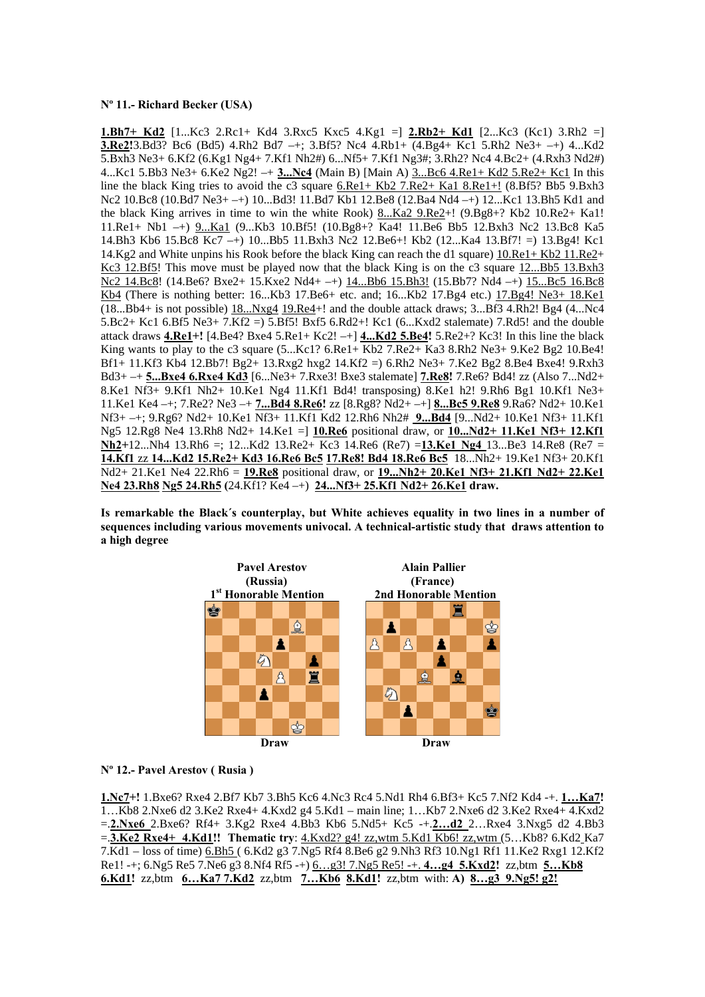## **Nº 11.- Richard Becker (USA)**

**1.Bh7+ Kd2** [1...Kc3 2.Rc1+ Kd4 3.Rxc5 Kxc5 4.Kg1 =] **2.Rb2+ Kd1** [2...Kc3 (Kc1) 3.Rh2 =] **3.Re2!**3.Bd3? Bc6 (Bd5) 4.Rh2 Bd7 –+; 3.Bf5? Nc4 4.Rb1+ (4.Bg4+ Kc1 5.Rh2 Ne3+ –+) 4...Kd2 5.Bxh3 Ne3+ 6.Kf2 (6.Kg1 Ng4+ 7.Kf1 Nh2#) 6...Nf5+ 7.Kf1 Ng3#; 3.Rh2? Nc4 4.Bc2+ (4.Rxh3 Nd2#) 4...Kc1 5.Bb3 Ne3+ 6.Ke2 Ng2! –+ **3...Nc4** (Main B) [Main A) 3...Bc6 4.Re1+ Kd2 5.Re2+ Kc1 In this line the black King tries to avoid the c3 square 6.Re1+ Kb2 7.Re2+ Ka1 8.Re1+! (8.Bf5? Bb5 9.Bxh3 Nc2 10.Bc8 (10.Bd7 Ne3+ –+) 10...Bd3! 11.Bd7 Kb1 12.Be8 (12.Ba4 Nd4 –+) 12...Kc1 13.Bh5 Kd1 and the black King arrives in time to win the white Rook) 8...Ka2 9.Re2+! (9.Bg8+? Kb2 10.Re2+ Ka1! 11.Re1+ Nb1 –+) 9...Ka1 (9...Kb3 10.Bf5! (10.Bg8+? Ka4! 11.Be6 Bb5 12.Bxh3 Nc2 13.Bc8 Ka5 14.Bh3 Kb6 15.Bc8 Kc7 –+) 10...Bb5 11.Bxh3 Nc2 12.Be6+! Kb2 (12...Ka4 13.Bf7! =) 13.Bg4! Kc1 14.Kg2 and White unpins his Rook before the black King can reach the d1 square) 10.Re1+ Kb2 11.Re2+ Kc3 12.Bf5! This move must be played now that the black King is on the c3 square 12...Bb5 13.Bxh3 Nc2 14.Bc8! (14.Be6? Bxe2+ 15.Kxe2 Nd4+ –+) 14...Bb6 15.Bh3! (15.Bb7? Nd4 –+) 15...Bc5 16.Bc8 Kb4 (There is nothing better: 16...Kb3 17.Be6+ etc. and; 16...Kb2 17.Bg4 etc.) 17.Bg4! Ne3+ 18.Ke1 (18...Bb4+ is not possible) 18...Nxg4 19.Re4+! and the double attack draws; 3...Bf3 4.Rh2! Bg4 (4...Nc4 5.Bc2+ Kc1 6.Bf5 Ne3+ 7.Kf2 =) 5.Bf5! Bxf5 6.Rd2+! Kc1 (6...Kxd2 stalemate) 7.Rd5! and the double attack draws **4.Re1+!** [4.Be4? Bxe4 5.Re1+ Kc2! –+] **4...Kd2 5.Be4!** 5.Re2+? Kc3! In this line the black King wants to play to the c3 square  $(5...Kc1? 6.Re1+ Kb2 7.Re2+ Ka3 8.Rh2 Ne3+ 9.Ke2 Bg2 10.Be4!$ Bf1+ 11.Kf3 Kb4 12.Bb7! Bg2+ 13.Rxg2 hxg2 14.Kf2 =) 6.Rh2 Ne3+ 7.Ke2 Bg2 8.Be4 Bxe4! 9.Rxh3 Bd3+ –+ **5...Bxe4 6.Rxe4 Kd3** [6...Ne3+ 7.Rxe3! Bxe3 stalemate] **7.Re8!** 7.Re6? Bd4! zz (Also 7...Nd2+ 8.Ke1 Nf3+ 9.Kf1 Nh2+ 10.Ke1 Ng4 11.Kf1 Bd4! transposing) 8.Ke1 h2! 9.Rh6 Bg1 10.Kf1 Ne3+ 11.Ke1 Ke4 –+; 7.Re2? Ne3 –+ **7...Bd4 8.Re6!** zz [8.Rg8? Nd2+ –+] **8...Bc5 9.Re8** 9.Ra6? Nd2+ 10.Ke1 Nf3+ –+; 9.Rg6? Nd2+ 10.Ke1 Nf3+ 11.Kf1 Kd2 12.Rh6 Nh2# **9...Bd4** [9...Nd2+ 10.Ke1 Nf3+ 11.Kf1 Ng5 12.Rg8 Ne4 13.Rh8 Nd2+ 14.Ke1 =] **10.Re6** positional draw, or **10...Nd2+ 11.Ke1 Nf3+ 12.Kf1 Nh2+**12...Nh4 13.Rh6 =; 12...Kd2 13.Re2+ Kc3 14.Re6 (Re7) =**13.Ke1 Ng4** 13...Be3 14.Re8 (Re7 = **14.Kf1** zz **14...Kd2 15.Re2+ Kd3 16.Re6 Bc5 17.Re8! Bd4 18.Re6 Bc5** 18...Nh2+ 19.Ke1 Nf3+ 20.Kf1 Nd2+ 21.Ke1 Ne4 22.Rh6 = **19.Re8** positional draw, or **19...Nh2+ 20.Ke1 Nf3+ 21.Kf1 Nd2+ 22.Ke1 Ne4 23.Rh8 Ng5 24.Rh5 (**24.Kf1? Ke4 –+) **24...Nf3+ 25.Kf1 Nd2+ 26.Ke1 draw.** 

**Is remarkable the Black´s counterplay, but White achieves equality in two lines in a number of sequences including various movements univocal. A technical-artistic study that draws attention to a high degree** 



#### **Nº 12.- Pavel Arestov ( Rusia )**

**1.Nс7+!** 1.Bxe6? Rxe4 2.Bf7 Kb7 3.Bh5 Kc6 4.Nc3 Rc4 5.Nd1 Rh4 6.Bf3+ Kc5 7.Nf2 Kd4 -+. **1…Ka7!**  1…Kb8 2.Nxe6 d2 3.Ke2 Rxe4+ 4.Kxd2 g4 5.Kd1 – main line; 1…Kb7 2.Nxe6 d2 3.Ke2 Rxe4+ 4.Kxd2 =.**2.Nxe6** 2.Bxe6? Rf4+ 3.Kg2 Rxe4 4.Bb3 Kb6 5.Nd5+ Kc5 -+.**2…d2** 2…Rxe4 3.Nxg5 d2 4.Bb3 =.**3.Ke2 Rxe4+ 4.Kd1!! Thematic try**: 4.Kxd2? g4! zz,wtm 5.Kd1 Kb6! zz,wtm (5…Kb8? 6.Kd2 Ka7 7.Kd1 – loss of time) 6.Bh5 ( 6.Kd2 g3 7.Ng5 Rf4 8.Be6 g2 9.Nh3 Rf3 10.Ng1 Rf1 11.Ke2 Rxg1 12.Kf2 Re1! -+; 6.Ng5 Re5 7.Ne6 g3 8.Nf4 Rf5 -+) 6…g3! 7.Ng5 Re5! -+. **4…g4 5.Kxd2!** zz,btm **5…Kb8 6.Kd1!** zz,btm **6…Ka7 7.Kd2** zz,btm **7…Kb6 8.Kd1!** zz,btmwith: **A) 8…g3 9.Ng5! g2!**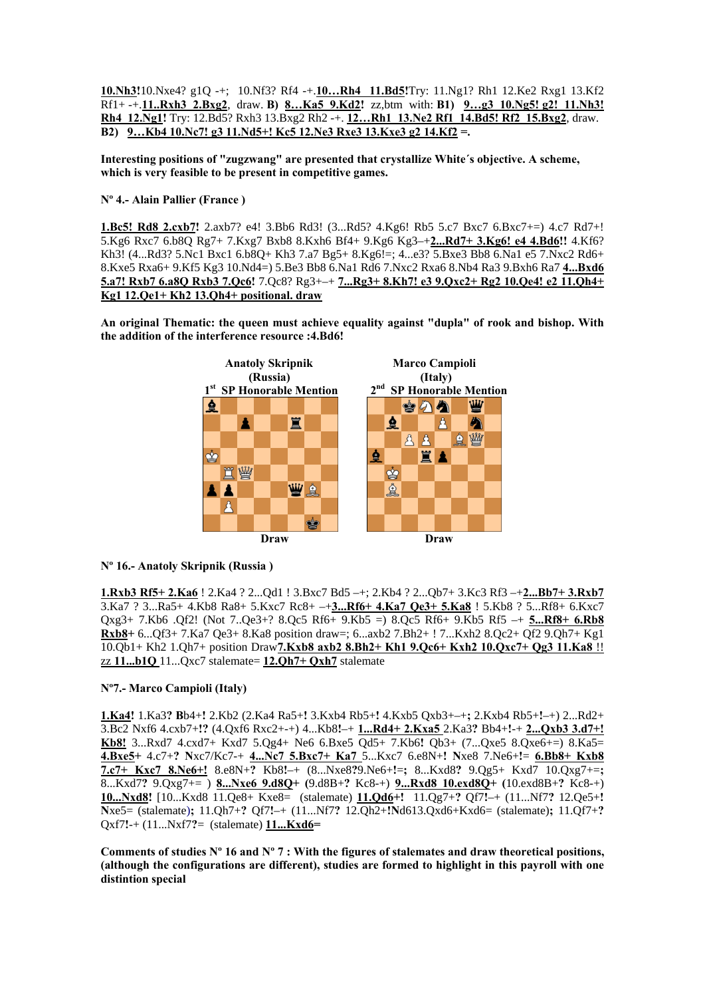**10.Nh3!**10.Nxe4? g1Q -+; 10.Nf3? Rf4 -+.**10…Rh4 11.Bd5!**Try: 11.Ng1? Rh1 12.Ke2 Rxg1 13.Kf2 Rf1+ -+.**11..Rxh3 2.Bxg2**, draw. **B) 8…Ka5 9.Kd2!** zz,btm with: **B1) 9…g3 10.Ng5! g2! 11.Nh3! Rh4 12.Ng1!** Try: 12.Bd5? Rxh3 13.Bxg2 Rh2 -+. **12…Rh1 13.Ne2 Rf1 14.Bd5! Rf2 15.Bxg2**, draw. **B2) 9…Kb4 10.Nc7! g3 11.Nd5+! Kc5 12.Ne3 Rxe3 13.Kxe3 g2 14.Kf2 =.** 

**Interesting positions of "zugzwang" are presented that crystallize White´s objective. A scheme, which is very feasible to be present in competitive games.** 

**Nº 4.- Alain Pallier (France )** 

**1.Bc5! Rd8 2.cxb7!** 2.axb7? e4! 3.Bb6 Rd3! (3...Rd5? 4.Kg6! Rb5 5.c7 Bxc7 6.Bxc7+=) 4.c7 Rd7+! 5.Kg6 Rxc7 6.b8Q Rg7+ 7.Kxg7 Bxb8 8.Kxh6 Bf4+ 9.Kg6 Kg3–+**2...Rd7+ 3.Kg6! e4 4.Bd6!!** 4.Kf6? Kh3! (4...Rd3? 5.Nc1 Bxc1 6.b8Q+ Kh3 7.a7 Bg5+ 8.Kg6!=; 4...e3? 5.Bxe3 Bb8 6.Na1 e5 7.Nxc2 Rd6+ 8.Kxe5 Rxa6+ 9.Kf5 Kg3 10.Nd4=) 5.Be3 Bb8 6.Na1 Rd6 7.Nxc2 Rxa6 8.Nb4 Ra3 9.Bxh6 Ra7 **4...Bxd6 5.a7! Rxb7 6.a8Q Rxb3 7.Qc6!** 7.Qc8? Rg3+–+ **7...Rg3+ 8.Kh7! e3 9.Qxc2+ Rg2 10.Qe4! e2 11.Qh4+ Kg1 12.Qe1+ Kh2 13.Qh4+ positional. draw** 

**An original Thematic: the queen must achieve equality against "dupla" of rook and bishop. With the addition of the interference resource :4.Bd6!** 



# **Nº 16.- Anatoly Skripnik (Russia )**

**1.Rxb3 Rf5+ 2.Ka6** ! 2.Ka4 ? 2...Qd1 ! 3.Bxc7 Bd5 –+; 2.Kb4 ? 2...Qb7+ 3.Kc3 Rf3 –+**2...Bb7+ 3.Rxb7**  3.Ka7 ? 3...Ra5+ 4.Kb8 Ra8+ 5.Kxc7 Rc8+ –+**3...Rf6+ 4.Ka7 Qe3+ 5.Ka8** ! 5.Kb8 ? 5...Rf8+ 6.Kxc7 Qxg3+ 7.Kb6 .Qf2! (Not 7..Qe3+? 8.Qc5 Rf6+ 9.Kb5 =) 8.Qc5 Rf6+ 9.Kb5 Rf5 –+ **5...Rf8+ 6.Rb8 Rxb8+** 6...Qf3+ 7.Ka7 Qe3+ 8.Ka8 position draw=; 6...axb2 7.Bh2+ ! 7...Kxh2 8.Qc2+ Qf2 9.Qh7+ Kg1 10.Qb1+ Kh2 1.Qh7+ position Draw**7.Kxb8 axb2 8.Bh2+ Kh1 9.Qc6+ Kxh2 10.Qxc7+ Qg3 11.Ka8** !! zz **11...b1Q** 11...Qxc7 stalemate= **12.Qh7+ Qxh7** stalemate

## **Nº7.- Marco Campioli (Italy)**

**1.Ka4!** 1.Ka3**? B**b4+**!** 2.Kb2 (2.Ka4 Ra5+**!** 3.Kxb4 Rb5+**!** 4.Kxb5 Qxb3+–+**;** 2.Kxb4 Rb5+**!**–+) 2...Rd2+ 3.Bc2 Nxf6 4.cxb7+**!?** (4.Qxf6 Rxc2+-+) 4...Kb8**!**–+ **1...Rd4+ 2.Kxa5** 2.Ka3**?** Bb4+**!**-+ **2...Qxb3 3.d7+! Kb8!** 3...Rxd7 4.cxd7+ Kxd7 5.Qg4+ Ne6 6.Bxe5 Qd5+ 7.Kb6**!** Qb3+ (7...Qxe5 8.Qxe6+=) 8.Ka5= **4.Bxe5+** 4.c7+**? N**xc7/Kc7-+ **4...Nc7 5.Bxc7+ Ka7** 5...Kxc7 6.e8N+**! N**xe8 7.Ne6+**!**= **6.Bb8+ Kxb8 7.c7+ Kxc7 8.Ne6+!** 8.e8N+**?** Kb8**!**–+ (8...Nxe8**?**9.Ne6+**!**=**;** 8...Kxd8**?** 9.Qg5+ Kxd7 10.Qxg7+=**;** 8...Kxd7**?** 9.Qxg7+= ) **8...Nxe6 9.d8Q+ (**9.d8B+**?** Kc8-+) **9...Rxd8 10.exd8Q+ (**10.exd8B+**?** Kc8-+) **10...Nxd8!** [10...Kxd8 11.Qe8+ Kxe8= (stalemate) **11.Qd6+!** 11.Qg7+**?** Qf7**!**–+ (11...Nf7**?** 12.Qe5+**! N**xe5= (stalemate)**;** 11.Qh7+**?** Qf7**!**–+ (11...Nf7**?** 12.Qh2+**!N**d613.Qxd6+Kxd6= (stalemate)**;** 11.Qf7+**?** Qxf7**!**-+ (11...Nxf7**?**= (stalemate) **11...Kxd6=** 

**Comments of studies Nº 16 and Nº 7 : With the figures of stalemates and draw theoretical positions, (although the configurations are different), studies are formed to highlight in this payroll with one distintion special**